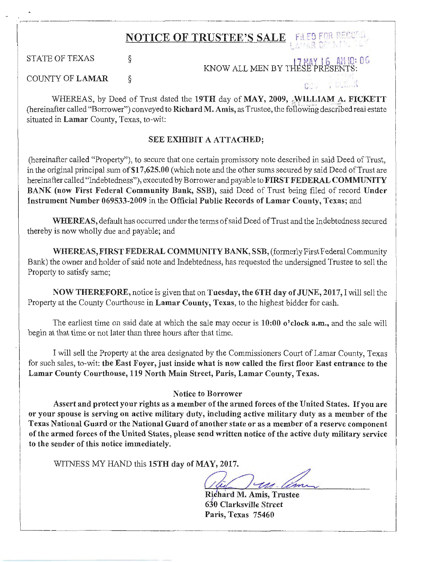---------- STATE OF TEXAS COUNTY OF LAMAR NOTICE OF TRUSTEE'S SALE FILED FOR RECURL § § I 7 Y l 6 Ai1 IQ: 0 *Ci*  KNOW ALL MEN BY THESE"PRESENTS:  $\mathbb{C}$  .

. -:----:---. ------------------------------

 $\ddot{\phantom{1}}$ 

i

· 1

I

WHEREAS, by Deed of Trust dated the 19TH day of MAY, 2009, .WILLIAM A. FICKETT (hereinafter called "Borrower") conveyed to Richard M. Amis, as Trustee, the following described real estate situated in Lamar County, Texas, to-wit:

## SEE EXHIBIT A ATTACHED;

(hereinafter called "Property"), to secure that one certain promissory note described in said Deed of Trust, in the original principal sum of \$17,625.00 (which note and the other sums secured by said Deed of Trust are hereinafter called "Indebtedness"), executed by Borrower and payable to FIRST FEDERAL COMMUNITY BANK (now First Federal Community Bank, SSB), said Deed of Trust being filed of record Under Instrument Number 069533-2009 in the Official Public Records of Lamar County, Texas; and

WHEREAS, default has occurred under the terms of said Deed of Trust and the Indebtedness secured thereby is now wholly due and payable; and

WHEREAS, FIRST FEDERAL COMMUNITY BANK, SSB, (formerly First Federal Community Bank) the owner and holder of said note and Indebtedness, has requested the undersigned Trustee to sell the Property to satisfy same;

NOW THEREFORE, notice is given that on Tuesday, the 6TH day of JUNE, 2017, I will sell the Property at the County Courthouse in Lamar County, Texas, to the highest bidder for cash.

The earliest time on said date at which the sale may occur is 10:00 o'clock a.m., and the sale will begin at that time or not later than three hours after that time.

I will sell the Property at the area designated by the Commissioners Court of Lamar County, Texas for such sales, to-wit: the East Foyer, just inside what is now called the first floor East entrance to the Lamar County Courthouse, 119 North Main Street, Paris, Lamar County, Texas.

## Notice to Borrower

Assert and protect your rights as a member of the armed forces of the United States. If you are or your spouse is serving on active military duty, including active military duty as a member of the Texas National Guard or the National Guard of another state or as a member of a reserve component of the armed forces of the United States, please send written notice of the active duty military service to the sender of this notice immediately.

WITNESS MY HAND this 15TH day of MAY, 2017.

Richard M. Amis, Trustee 630 Clarksville Street Paris, Texas 75460 \_J